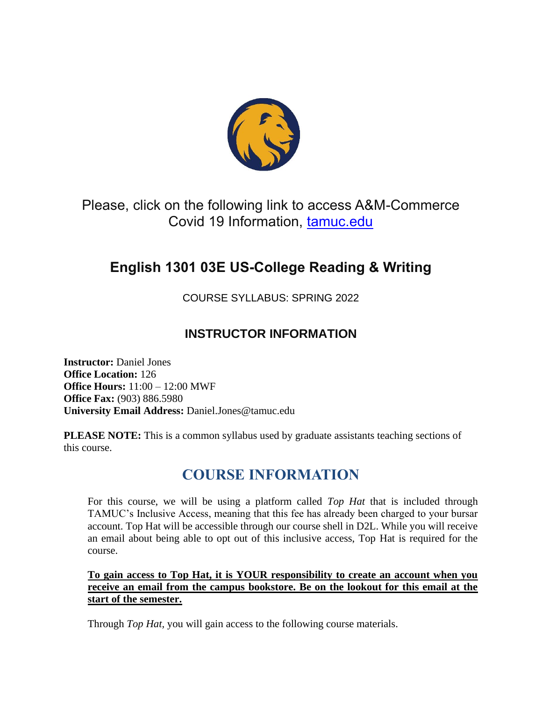

Please, click on the following link to access A&M-Commerce Covid 19 Information, [tamuc.edu](http://www.tamuc.edu/)

# **English 1301 03E US-College Reading & Writing**

COURSE SYLLABUS: SPRING 2022

## **INSTRUCTOR INFORMATION**

**Instructor:** Daniel Jones **Office Location:** 126 **Office Hours:** 11:00 – 12:00 MWF **Office Fax:** (903) 886.5980 **University Email Address:** Daniel.Jones@tamuc.edu

**PLEASE NOTE:** This is a common syllabus used by graduate assistants teaching sections of this course.

## **COURSE INFORMATION**

For this course, we will be using a platform called *Top Hat* that is included through TAMUC's Inclusive Access, meaning that this fee has already been charged to your bursar account. Top Hat will be accessible through our course shell in D2L. While you will receive an email about being able to opt out of this inclusive access, Top Hat is required for the course.

**To gain access to Top Hat, it is YOUR responsibility to create an account when you receive an email from the campus bookstore. Be on the lookout for this email at the start of the semester.**

Through *Top Hat,* you will gain access to the following course materials.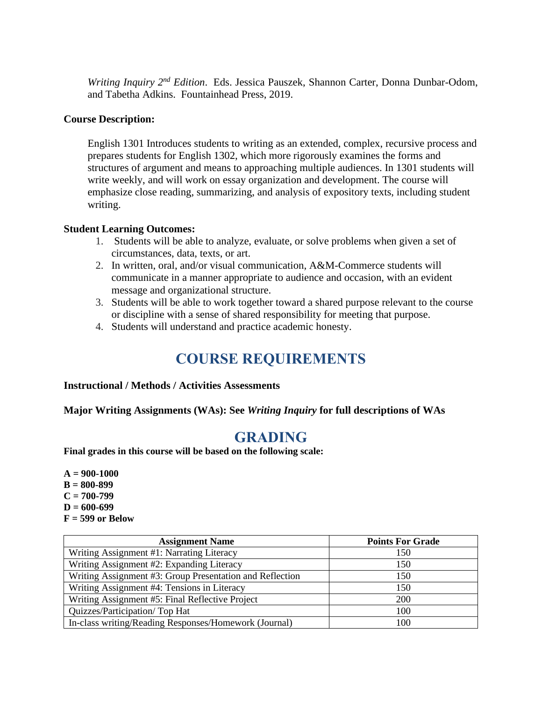*Writing Inquiry 2nd Edition*. Eds. Jessica Pauszek, Shannon Carter, Donna Dunbar-Odom, and Tabetha Adkins. Fountainhead Press, 2019.

### **Course Description:**

English 1301 Introduces students to writing as an extended, complex, recursive process and prepares students for English 1302, which more rigorously examines the forms and structures of argument and means to approaching multiple audiences. In 1301 students will write weekly, and will work on essay organization and development. The course will emphasize close reading, summarizing, and analysis of expository texts, including student writing.

### **Student Learning Outcomes:**

- 1. Students will be able to analyze, evaluate, or solve problems when given a set of circumstances, data, texts, or art.
- 2. In written, oral, and/or visual communication, A&M-Commerce students will communicate in a manner appropriate to audience and occasion, with an evident message and organizational structure.
- 3. Students will be able to work together toward a shared purpose relevant to the course or discipline with a sense of shared responsibility for meeting that purpose.
- 4. Students will understand and practice academic honesty.

## **COURSE REQUIREMENTS**

### **Instructional / Methods / Activities Assessments**

**Major Writing Assignments (WAs): See** *Writing Inquiry* **for full descriptions of WAs**

## **GRADING**

**Final grades in this course will be based on the following scale:** 

**A = 900-1000 B = 800-899 C = 700-799 D = 600-699 F = 599 or Below**

| <b>Assignment Name</b>                                   | <b>Points For Grade</b> |
|----------------------------------------------------------|-------------------------|
| Writing Assignment #1: Narrating Literacy                | 150                     |
| Writing Assignment #2: Expanding Literacy                | 150                     |
| Writing Assignment #3: Group Presentation and Reflection | 150                     |
| Writing Assignment #4: Tensions in Literacy              | 150                     |
| Writing Assignment #5: Final Reflective Project          | <b>200</b>              |
| Quizzes/Participation/Top Hat                            | 100                     |
| In-class writing/Reading Responses/Homework (Journal)    | 100                     |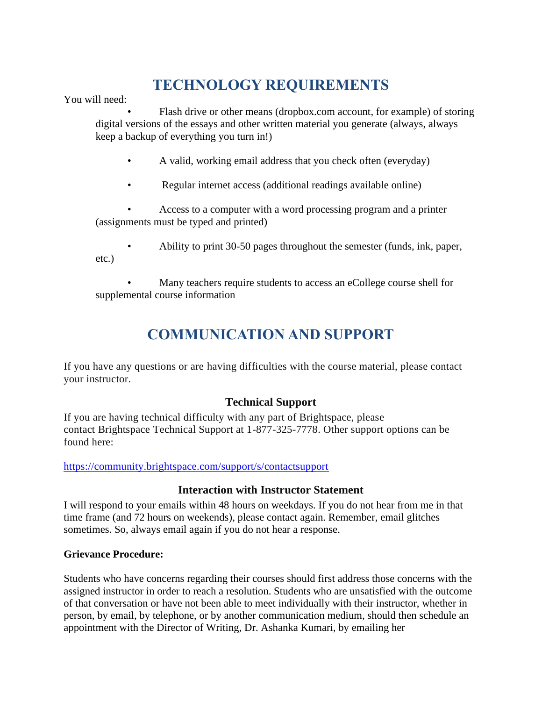# **TECHNOLOGY REQUIREMENTS**

You will need:

Flash drive or other means (dropbox.com account, for example) of storing digital versions of the essays and other written material you generate (always, always keep a backup of everything you turn in!)

- A valid, working email address that you check often (everyday)
- Regular internet access (additional readings available online)

• Access to a computer with a word processing program and a printer (assignments must be typed and printed)

• Ability to print 30-50 pages throughout the semester (funds, ink, paper, etc.)

• Many teachers require students to access an eCollege course shell for supplemental course information

# **COMMUNICATION AND SUPPORT**

If you have any questions or are having difficulties with the course material, please contact your instructor.

## **Technical Support**

If you are having technical difficulty with any part of Brightspace, please contact Brightspace Technical Support at 1-877-325-7778. Other support options can be found here:

<https://community.brightspace.com/support/s/contactsupport>

## **Interaction with Instructor Statement**

I will respond to your emails within 48 hours on weekdays. If you do not hear from me in that time frame (and 72 hours on weekends), please contact again. Remember, email glitches sometimes. So, always email again if you do not hear a response.

## **Grievance Procedure:**

Students who have concerns regarding their courses should first address those concerns with the assigned instructor in order to reach a resolution. Students who are unsatisfied with the outcome of that conversation or have not been able to meet individually with their instructor, whether in person, by email, by telephone, or by another communication medium, should then schedule an appointment with the Director of Writing, Dr. Ashanka Kumari, by emailing her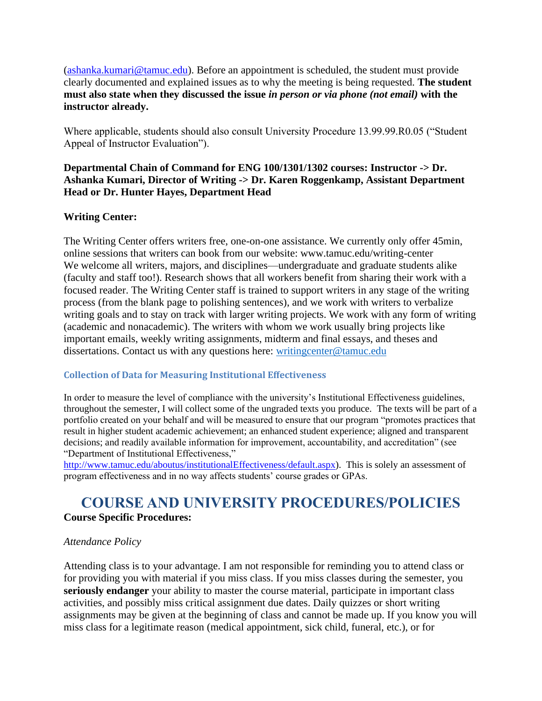[\(ashanka.kumari@tamuc.edu\)](mailto:ashanka.kumari@tamuc.edu). Before an appointment is scheduled, the student must provide clearly documented and explained issues as to why the meeting is being requested. **The student must also state when they discussed the issue** *in person or via phone (not email)* **with the instructor already.** 

Where applicable, students should also consult University Procedure 13.99.99.R0.05 ("Student Appeal of Instructor Evaluation").

## **Departmental Chain of Command for ENG 100/1301/1302 courses: Instructor -> Dr. Ashanka Kumari, Director of Writing -> Dr. Karen Roggenkamp, Assistant Department Head or Dr. Hunter Hayes, Department Head**

## **Writing Center:**

The Writing Center offers writers free, one-on-one assistance. We currently only offer 45min, online sessions that writers can book from our website: www.tamuc.edu/writing-center We welcome all writers, majors, and disciplines—undergraduate and graduate students alike (faculty and staff too!). Research shows that all workers benefit from sharing their work with a focused reader. The Writing Center staff is trained to support writers in any stage of the writing process (from the blank page to polishing sentences), and we work with writers to verbalize writing goals and to stay on track with larger writing projects. We work with any form of writing (academic and nonacademic). The writers with whom we work usually bring projects like important emails, weekly writing assignments, midterm and final essays, and theses and dissertations. Contact us with any questions here: [writingcenter@tamuc.edu](mailto:writingcenter@tamuc.edu)

## **Collection of Data for Measuring Institutional Effectiveness**

In order to measure the level of compliance with the university's Institutional Effectiveness guidelines, throughout the semester, I will collect some of the ungraded texts you produce. The texts will be part of a portfolio created on your behalf and will be measured to ensure that our program "promotes practices that result in higher student academic achievement; an enhanced student experience; aligned and transparent decisions; and readily available information for improvement, accountability, and accreditation" (see "Department of Institutional Effectiveness,"

[http://www.tamuc.edu/aboutus/institutionalEffectiveness/default.aspx\)](http://www.tamuc.edu/aboutus/institutionalEffectiveness/default.aspx). This is solely an assessment of program effectiveness and in no way affects students' course grades or GPAs.

## **COURSE AND UNIVERSITY PROCEDURES/POLICIES Course Specific Procedures:**

### *Attendance Policy*

Attending class is to your advantage. I am not responsible for reminding you to attend class or for providing you with material if you miss class. If you miss classes during the semester, you **seriously endanger** your ability to master the course material, participate in important class activities, and possibly miss critical assignment due dates. Daily quizzes or short writing assignments may be given at the beginning of class and cannot be made up. If you know you will miss class for a legitimate reason (medical appointment, sick child, funeral, etc.), or for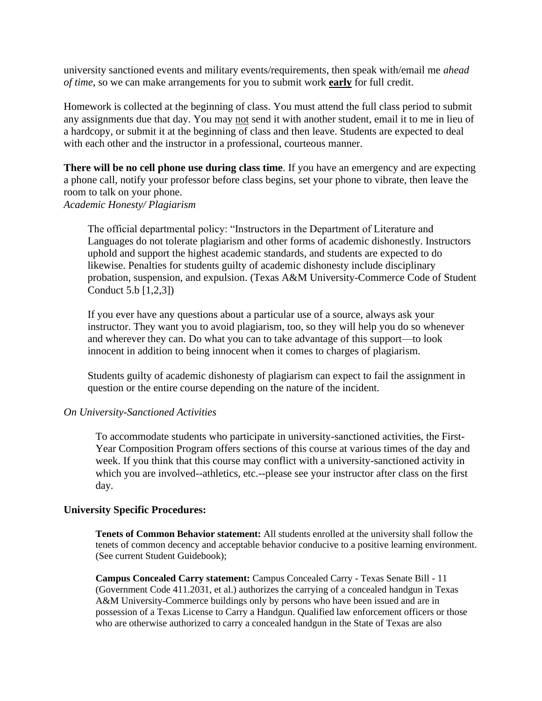university sanctioned events and military events/requirements, then speak with/email me *ahead of time*, so we can make arrangements for you to submit work **early** for full credit.

Homework is collected at the beginning of class. You must attend the full class period to submit any assignments due that day. You may not send it with another student, email it to me in lieu of a hardcopy, or submit it at the beginning of class and then leave. Students are expected to deal with each other and the instructor in a professional, courteous manner.

**There will be no cell phone use during class time**. If you have an emergency and are expecting a phone call, notify your professor before class begins, set your phone to vibrate, then leave the room to talk on your phone. *Academic Honesty/ Plagiarism* 

The official departmental policy: "Instructors in the Department of Literature and Languages do not tolerate plagiarism and other forms of academic dishonestly. Instructors uphold and support the highest academic standards, and students are expected to do likewise. Penalties for students guilty of academic dishonesty include disciplinary probation, suspension, and expulsion. (Texas A&M University-Commerce Code of Student Conduct 5.b [1,2,3])

If you ever have any questions about a particular use of a source, always ask your instructor. They want you to avoid plagiarism, too, so they will help you do so whenever and wherever they can. Do what you can to take advantage of this support—to look innocent in addition to being innocent when it comes to charges of plagiarism.

Students guilty of academic dishonesty of plagiarism can expect to fail the assignment in question or the entire course depending on the nature of the incident.

#### *On University-Sanctioned Activities*

To accommodate students who participate in university-sanctioned activities, the First-Year Composition Program offers sections of this course at various times of the day and week. If you think that this course may conflict with a university-sanctioned activity in which you are involved--athletics, etc.--please see your instructor after class on the first day*.* 

#### **University Specific Procedures:**

**Tenets of Common Behavior statement:** All students enrolled at the university shall follow the tenets of common decency and acceptable behavior conducive to a positive learning environment. (See current Student Guidebook);

**Campus Concealed Carry statement:** Campus Concealed Carry - Texas Senate Bill - 11 (Government Code 411.2031, et al.) authorizes the carrying of a concealed handgun in Texas A&M University-Commerce buildings only by persons who have been issued and are in possession of a Texas License to Carry a Handgun. Qualified law enforcement officers or those who are otherwise authorized to carry a concealed handgun in the State of Texas are also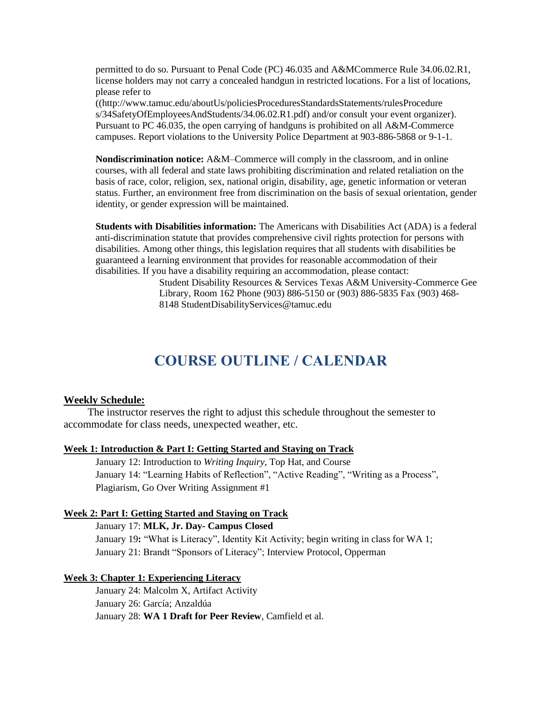permitted to do so. Pursuant to Penal Code (PC) 46.035 and A&MCommerce Rule 34.06.02.R1, license holders may not carry a concealed handgun in restricted locations. For a list of locations, please refer to

((http://www.tamuc.edu/aboutUs/policiesProceduresStandardsStatements/rulesProcedure s/34SafetyOfEmployeesAndStudents/34.06.02.R1.pdf) and/or consult your event organizer). Pursuant to PC 46.035, the open carrying of handguns is prohibited on all A&M-Commerce campuses. Report violations to the University Police Department at 903-886-5868 or 9-1-1.

**Nondiscrimination notice:** A&M–Commerce will comply in the classroom, and in online courses, with all federal and state laws prohibiting discrimination and related retaliation on the basis of race, color, religion, sex, national origin, disability, age, genetic information or veteran status. Further, an environment free from discrimination on the basis of sexual orientation, gender identity, or gender expression will be maintained.

**Students with Disabilities information:** The Americans with Disabilities Act (ADA) is a federal anti-discrimination statute that provides comprehensive civil rights protection for persons with disabilities. Among other things, this legislation requires that all students with disabilities be guaranteed a learning environment that provides for reasonable accommodation of their disabilities. If you have a disability requiring an accommodation, please contact:

> Student Disability Resources & Services Texas A&M University-Commerce Gee Library, Room 162 Phone (903) 886-5150 or (903) 886-5835 Fax (903) 468- 8148 StudentDisabilityServices@tamuc.edu

## **COURSE OUTLINE / CALENDAR**

#### **Weekly Schedule:**

The instructor reserves the right to adjust this schedule throughout the semester to accommodate for class needs, unexpected weather, etc.

#### **Week 1: Introduction & Part I: Getting Started and Staying on Track**

January 12: Introduction to *Writing Inquiry*, Top Hat, and Course January 14: "Learning Habits of Reflection", "Active Reading", "Writing as a Process", Plagiarism, Go Over Writing Assignment #1

#### **Week 2: Part I: Getting Started and Staying on Track**

January 17: **MLK, Jr. Day- Campus Closed**

January 19**:** "What is Literacy", Identity Kit Activity; begin writing in class for WA 1; January 21: Brandt "Sponsors of Literacy"; Interview Protocol, Opperman

#### **Week 3: Chapter 1: Experiencing Literacy**

January 24: Malcolm X, Artifact Activity January 26: García; Anzaldúa January 28: **WA 1 Draft for Peer Review**, Camfield et al.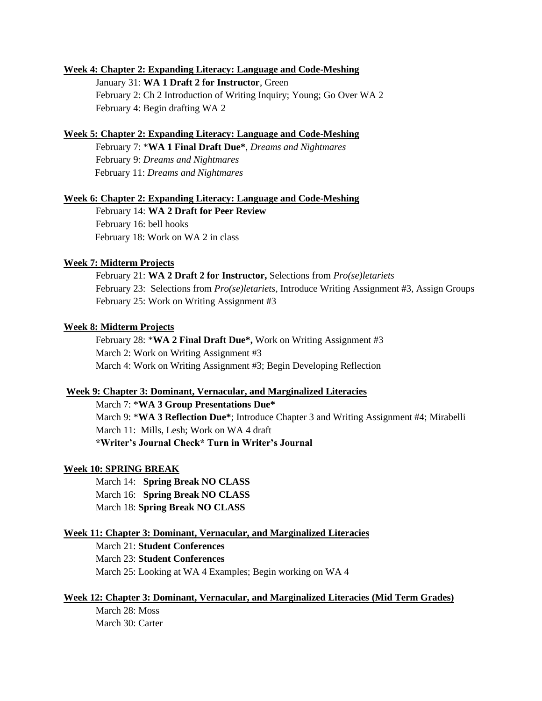#### **Week 4: Chapter 2: Expanding Literacy: Language and Code-Meshing**

January 31: **WA 1 Draft 2 for Instructor**, Green February 2: Ch 2 Introduction of Writing Inquiry; Young; Go Over WA 2 February 4: Begin drafting WA 2

#### **Week 5: Chapter 2: Expanding Literacy: Language and Code-Meshing**

February 7: \***WA 1 Final Draft Due\***, *Dreams and Nightmares* February 9: *Dreams and Nightmares* February 11: *Dreams and Nightmares*

#### **Week 6: Chapter 2: Expanding Literacy: Language and Code-Meshing**

February 14: **WA 2 Draft for Peer Review** February 16: bell hooks February 18: Work on WA 2 in class

#### **Week 7: Midterm Projects**

February 21: **WA 2 Draft 2 for Instructor,** Selections from *Pro(se)letariets* February 23: Selections from *Pro(se)letariets*, Introduce Writing Assignment #3, Assign Groups February 25: Work on Writing Assignment #3

#### **Week 8: Midterm Projects**

February 28: \***WA 2 Final Draft Due\*,** Work on Writing Assignment #3 March 2: Work on Writing Assignment #3 March 4: Work on Writing Assignment #3; Begin Developing Reflection

#### **Week 9: Chapter 3: Dominant, Vernacular, and Marginalized Literacies**

March 7: \***WA 3 Group Presentations Due\*** March 9: \***WA 3 Reflection Due\***; Introduce Chapter 3 and Writing Assignment #4; Mirabelli March 11: Mills, Lesh; Work on WA 4 draft **\*Writer's Journal Check\* Turn in Writer's Journal**

#### **Week 10: SPRING BREAK**

March 14: **Spring Break NO CLASS**  March 16: **Spring Break NO CLASS** March 18: **Spring Break NO CLASS** 

#### **Week 11: Chapter 3: Dominant, Vernacular, and Marginalized Literacies**

March 21: **Student Conferences** March 23: **Student Conferences** March 25: Looking at WA 4 Examples; Begin working on WA 4

#### **Week 12: Chapter 3: Dominant, Vernacular, and Marginalized Literacies (Mid Term Grades)**

March 28: Moss March 30: Carter